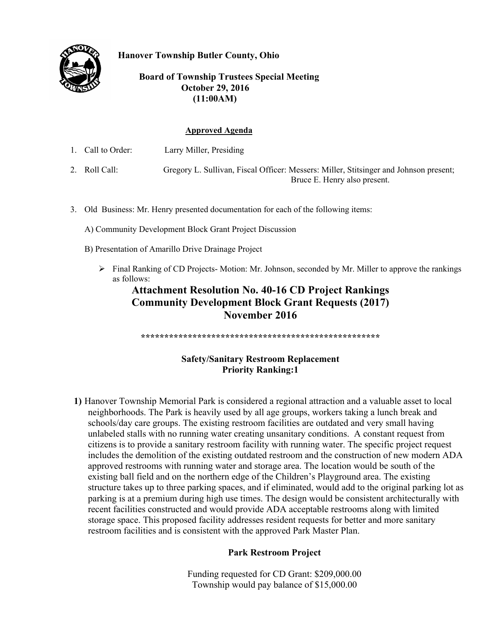

**Hanover Township Butler County, Ohio** 

## **Board of Township Trustees Special Meeting October 29, 2016 (11:00AM)**

#### **Approved Agenda**

- 1. Call to Order: Larry Miller, Presiding
- 2. Roll Call: Gregory L. Sullivan, Fiscal Officer: Messers: Miller, Stitsinger and Johnson present; Bruce E. Henry also present.
- 3. Old Business: Mr. Henry presented documentation for each of the following items:
	- A) Community Development Block Grant Project Discussion
	- B) Presentation of Amarillo Drive Drainage Project
		- $\triangleright$  Final Ranking of CD Projects-Motion: Mr. Johnson, seconded by Mr. Miller to approve the rankings as follows:

# **Attachment Resolution No. 40-16 CD Project Rankings Community Development Block Grant Requests (2017) November 2016**

**\*\*\*\*\*\*\*\*\*\*\*\*\*\*\*\*\*\*\*\*\*\*\*\*\*\*\*\*\*\*\*\*\*\*\*\*\*\*\*\*\*\*\*\*\*\*\*\*\*\*\*** 

# **Safety/Sanitary Restroom Replacement Priority Ranking:1**

**1)** Hanover Township Memorial Park is considered a regional attraction and a valuable asset to local neighborhoods. The Park is heavily used by all age groups, workers taking a lunch break and schools/day care groups. The existing restroom facilities are outdated and very small having unlabeled stalls with no running water creating unsanitary conditions. A constant request from citizens is to provide a sanitary restroom facility with running water. The specific project request includes the demolition of the existing outdated restroom and the construction of new modern ADA approved restrooms with running water and storage area. The location would be south of the existing ball field and on the northern edge of the Children's Playground area. The existing structure takes up to three parking spaces, and if eliminated, would add to the original parking lot as parking is at a premium during high use times. The design would be consistent architecturally with recent facilities constructed and would provide ADA acceptable restrooms along with limited storage space. This proposed facility addresses resident requests for better and more sanitary restroom facilities and is consistent with the approved Park Master Plan.

### **Park Restroom Project**

Funding requested for CD Grant: \$209,000.00 Township would pay balance of \$15,000.00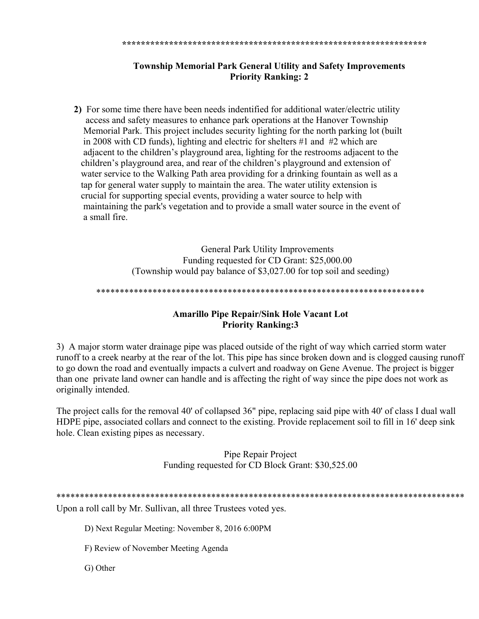#### 

# **Township Memorial Park General Utility and Safety Improvements Priority Ranking: 2**

2) For some time there have been needs indentified for additional water/electric utility access and safety measures to enhance park operations at the Hanover Township Memorial Park. This project includes security lighting for the north parking lot (built in 2008 with CD funds), lighting and electric for shelters  $\#1$  and  $\#2$  which are adjacent to the children's playground area, lighting for the restrooms adjacent to the children's playground area, and rear of the children's playground and extension of water service to the Walking Path area providing for a drinking fountain as well as a tap for general water supply to maintain the area. The water utility extension is crucial for supporting special events, providing a water source to help with maintaining the park's vegetation and to provide a small water source in the event of a small fire.

> **General Park Utility Improvements** Funding requested for CD Grant: \$25,000.00 (Township would pay balance of \$3,027.00 for top soil and seeding)

## **Amarillo Pipe Repair/Sink Hole Vacant Lot Priority Ranking:3**

3) A major storm water drainage pipe was placed outside of the right of way which carried storm water runoff to a creek nearby at the rear of the lot. This pipe has since broken down and is clogged causing runoff to go down the road and eventually impacts a culvert and roadway on Gene Avenue. The project is bigger than one private land owner can handle and is affecting the right of way since the pipe does not work as originally intended.

The project calls for the removal 40' of collapsed 36" pipe, replacing said pipe with 40' of class I dual wall HDPE pipe, associated collars and connect to the existing. Provide replacement soil to fill in 16' deep sink hole. Clean existing pipes as necessary.

> Pipe Repair Project Funding requested for CD Block Grant: \$30,525.00

Upon a roll call by Mr. Sullivan, all three Trustees voted yes.

D) Next Regular Meeting: November 8, 2016 6:00PM

F) Review of November Meeting Agenda

G) Other